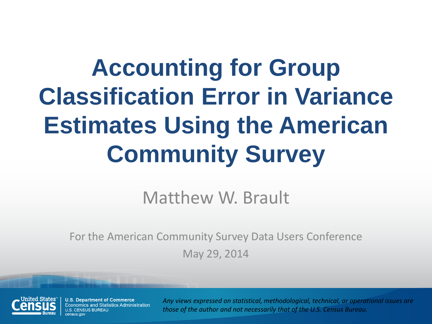### **Accounting for Group Classification Error in Variance Estimates Using the American Community Survey**

#### Matthew W. Brault

For the American Community Survey Data Users Conference May 29, 2014



**U.S. Department of Commerce** Economics and Statistics Administration *Any views expressed on statistical, methodological, technical, or operational issues are those of the author and not necessarily that of the U.S. Census Bureau.*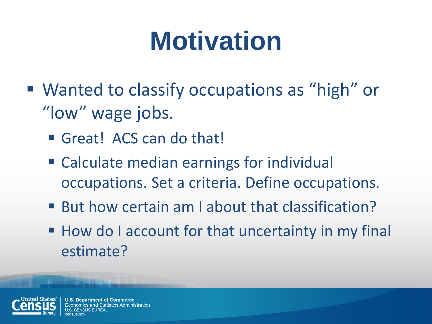# **Motivation**

- Wanted to classify occupations as "high" or "low" wage jobs.
	- Great! ACS can do that!
	- Calculate median earnings for individual occupations. Set a criteria. Define occupations.
	- But how certain am I about that classification?
	- How do I account for that uncertainty in my final estimate?



**U.S. Department of Commerce** omics and Statistics Administration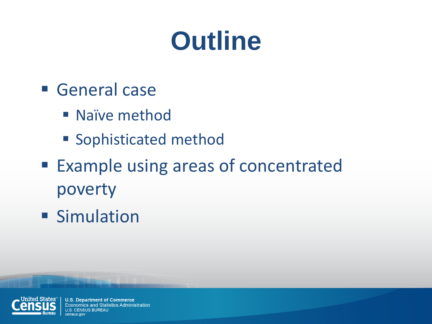# **Outline**

- **General case** 
	- **Naïve method**
	- Sophisticated method
- Example using areas of concentrated poverty
- **Simulation**

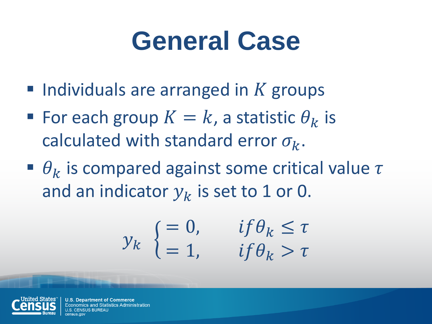#### **General Case**

- $\blacksquare$  Individuals are arranged in K groups
- For each group  $K = k$ , a statistic  $\theta_k$  is calculated with standard error  $\sigma_k$ .
- $\theta_k$  is compared against some critical value  $\tau$ and an indicator  $y_k$  is set to 1 or 0.

$$
y_k \begin{cases} = 0, & if \theta_k \le \tau \\ = 1, & if \theta_k > \tau \end{cases}
$$



**U.S. Department of Commerce** nomics and Statistics Administration SUS BUREAU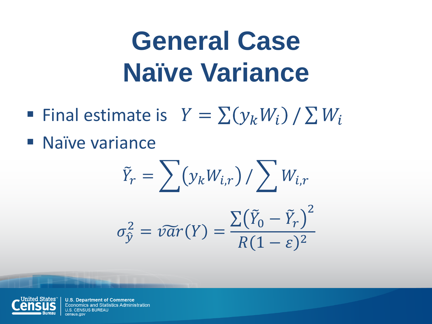# **General Case Naïve Variance**

- Final estimate is  $Y = \sum (y_k W_i) / \sum W_i$
- **Naïve variance**

$$
\tilde{Y}_r = \sum (y_k W_{i,r}) / \sum W_{i,r}
$$

$$
\sigma_{\hat{y}}^2 = \tilde{var}(Y) = \frac{\sum (\tilde{Y}_0 - \tilde{Y}_r)^2}{R(1 - \varepsilon)^2}
$$

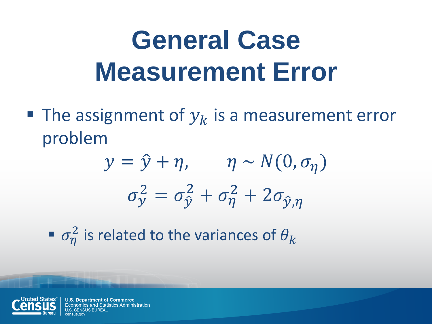# **General Case Measurement Error**

The assignment of  $y_k$  is a measurement error problem

$$
y = \hat{y} + \eta, \qquad \eta \sim N(0, \sigma_{\eta})
$$

$$
\sigma_{y}^{2} = \sigma_{\hat{y}}^{2} + \sigma_{\eta}^{2} + 2\sigma_{\hat{y}, \eta}
$$

 $\bullet$   $\sigma_{\eta}^2$  is related to the variances of  $\theta_k$ 



**U.S. Department of Commerce** nomics and Statistics Administration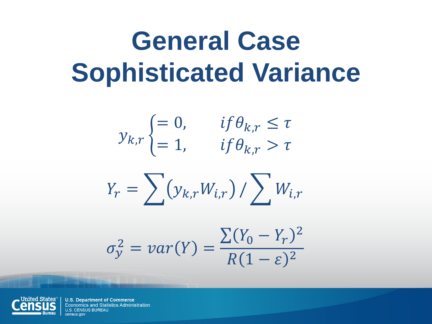# **General Case Sophisticated Variance**

$$
y_{k,r} = \begin{cases} = 0, & if \theta_{k,r} \le \tau \\ = 1, & if \theta_{k,r} > \tau \end{cases}
$$

$$
Y_r = \sum (y_{k,r} W_{i,r}) / \sum W_{i,r}
$$

$$
\sigma_y^2 = var(Y) = \frac{\sum (Y_0 - Y_r)^2}{R(1 - \varepsilon)^2}
$$

**United States**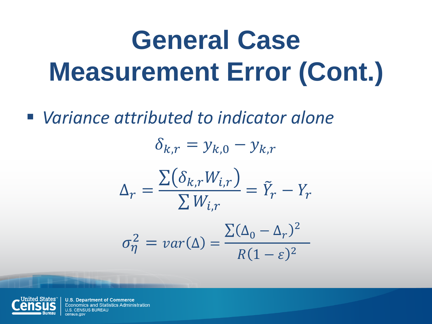# **General Case Measurement Error (Cont.)**

*Variance attributed to indicator alone*

 $\delta_{k,r} = y_{k,0} - y_{k,r}$  $\Delta_r =$  $\sum \bigl( \delta_{k,r} W_{i,r}$  $\sum W_{i,r}$  $= \tilde{Y}_r - Y_r$  $\sum(\Delta_0-\Delta_r)^2$ 

$$
\sigma_{\eta}^2 = var(\Delta) = \frac{\Delta \Delta_0 - \Delta_r}{R(1 - \varepsilon)^2}
$$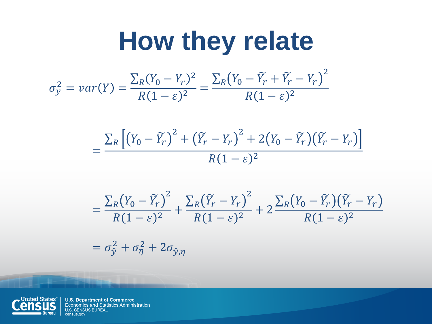#### **How they relate**  $\sigma_{\rm y}^2 = var(Y) =$  $\sum_{R}(Y_0 - Y_r)^2$  $\overline{R}$  $\frac{R^{(1)}(1-\varepsilon)^2}{R(1-\varepsilon)^2} =$  $\sum_{R}(Y_0 - \widetilde{Y}_r + \widetilde{Y}_r - Y_r)^2$  $\overline{R}$  $R(1-\varepsilon)^2$

$$
=\frac{\sum_{R}\left[\left(Y_{0}-\widetilde{Y}_{r}\right)^{2}+\left(\widetilde{Y}_{r}-Y_{r}\right)^{2}+2\left(Y_{0}-\widetilde{Y}_{r}\right)\left(\widetilde{Y}_{r}-Y_{r}\right)\right]}{R(1-\varepsilon)^{2}}
$$

$$
=\frac{\sum_{R}(Y_0-\widetilde{Y}_r)^2}{R(1-\varepsilon)^2}+\frac{\sum_{R}(\widetilde{Y}_r-Y_r)^2}{R(1-\varepsilon)^2}+2\frac{\sum_{R}(Y_0-\widetilde{Y}_r)(\widetilde{Y}_r-Y_r)}{R(1-\varepsilon)^2}
$$

 $= \sigma_{\hat{y}}^2 + \sigma_{\eta}^2 + 2\sigma_{\hat{y},\eta}$ 

**United States**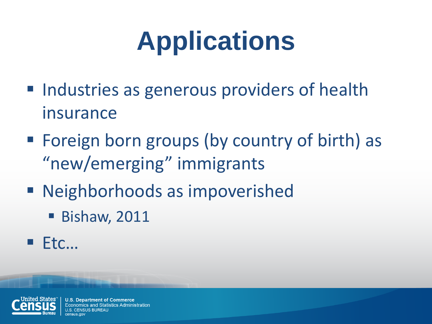# **Applications**

- Industries as generous providers of health insurance
- Foreign born groups (by country of birth) as "new/emerging" immigrants
- Neighborhoods as impoverished
	- **Bishaw, 2011**
- $E$ Ftc...



**U.S. Department of Commerce** Economics and Statistics Administration SUS BUREAU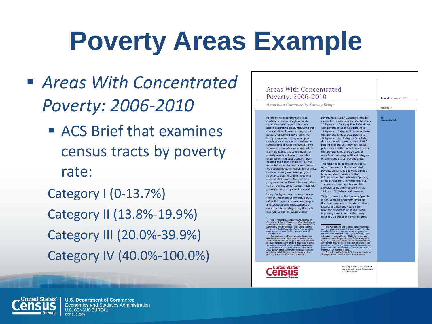# **Poverty Areas Example**

- *Areas With Concentrated Poverty: 2006-2010*
	- **ACS Brief that examines** census tracts by poverty rate:

Category I (0-13.7%) Category II (13.8%-19.9%) Category III (20.0%-39.9%) Category IV (40.0%-100.0%)

| Poverty: 2006-2010                                                                                                                                                                                                                                                                                                                                                                                                                                                                                                                                                                                                                                                                                                                                                                                                                                                                                                                                                                                                                                                                                                                                                                                                                                                                                                                                                                                                                                                                                                                                                                                                                                                                                                                                                                                                                                                                                                                                                                                                                                                                        |                                                                                                                                                                                                                                                                                                                                                                                                                                                                                                                                                                                                                                                                                                                                                                                                                                                                                                                                                                                                                                                                                                                                                                                                                                                                                                                                                                                                                                                                                                                                                                                                                                                                                                                                                                                                                                                                                                                                                                                                                         | <b>Issued December 2011</b> |  |
|-------------------------------------------------------------------------------------------------------------------------------------------------------------------------------------------------------------------------------------------------------------------------------------------------------------------------------------------------------------------------------------------------------------------------------------------------------------------------------------------------------------------------------------------------------------------------------------------------------------------------------------------------------------------------------------------------------------------------------------------------------------------------------------------------------------------------------------------------------------------------------------------------------------------------------------------------------------------------------------------------------------------------------------------------------------------------------------------------------------------------------------------------------------------------------------------------------------------------------------------------------------------------------------------------------------------------------------------------------------------------------------------------------------------------------------------------------------------------------------------------------------------------------------------------------------------------------------------------------------------------------------------------------------------------------------------------------------------------------------------------------------------------------------------------------------------------------------------------------------------------------------------------------------------------------------------------------------------------------------------------------------------------------------------------------------------------------------------|-------------------------------------------------------------------------------------------------------------------------------------------------------------------------------------------------------------------------------------------------------------------------------------------------------------------------------------------------------------------------------------------------------------------------------------------------------------------------------------------------------------------------------------------------------------------------------------------------------------------------------------------------------------------------------------------------------------------------------------------------------------------------------------------------------------------------------------------------------------------------------------------------------------------------------------------------------------------------------------------------------------------------------------------------------------------------------------------------------------------------------------------------------------------------------------------------------------------------------------------------------------------------------------------------------------------------------------------------------------------------------------------------------------------------------------------------------------------------------------------------------------------------------------------------------------------------------------------------------------------------------------------------------------------------------------------------------------------------------------------------------------------------------------------------------------------------------------------------------------------------------------------------------------------------------------------------------------------------------------------------------------------------|-----------------------------|--|
| <b>American Community Survey Briefs</b>                                                                                                                                                                                                                                                                                                                                                                                                                                                                                                                                                                                                                                                                                                                                                                                                                                                                                                                                                                                                                                                                                                                                                                                                                                                                                                                                                                                                                                                                                                                                                                                                                                                                                                                                                                                                                                                                                                                                                                                                                                                   |                                                                                                                                                                                                                                                                                                                                                                                                                                                                                                                                                                                                                                                                                                                                                                                                                                                                                                                                                                                                                                                                                                                                                                                                                                                                                                                                                                                                                                                                                                                                                                                                                                                                                                                                                                                                                                                                                                                                                                                                                         | ACSR0/10.17                 |  |
| People living in poverty tend to be<br>clustered in certain neighborhoods<br>rather than being evenly distributed<br>across geographic areas. Measuring this<br>concentration of poverty is important<br>because researchers have found that<br>living in areas with many other poor<br>people places burdens on low-income<br>families beyond what the families' own<br>individual circumstances would dictate.<br>Many argue that this concentration of<br>poverty results in higher crime rates,<br>underperforming public schools, poor<br>housing and health conditions, as well<br>as limited access to private services and<br>job opportunities. <sup>1</sup> In recognition of these<br>burdens, some government programs<br>target resources to communities with<br>concentrated poverty. Many of these<br>programs use the Census Bureau's defini-<br>tion of "poverty areas" (census tracts with<br>poverty rates of 20 percent or more). <sup>2</sup><br>Using the 5-year poverty rate estimates<br>from the American Community Survey<br>(ACS), this report analyzes demographic<br>and socioeconomic characteristics of<br>census tracts by categorizing the tracts<br>into four categories based on their<br><sup>1</sup> See for example, The Enduring Challenge of<br>Concentrated Poverty in America: Case Studies from<br>Communities across the U.S.A., A joint Project of the<br>Community Affairs Offices of the Federal Reserve<br>System and the Metropolitan Policy Program at the<br>Brookings Institution, (Federal Reserve Bank of<br>Cleveland, 2008).<br><sup>2</sup> For example, the Developmental Disabilities<br>Assistance and Bill of Rights Act in Section 103(a)<br>allows Basic State Grant projects whose activities or<br>products target poverty areas to receive as much as<br>90 percent in federal support and the New Market<br>Tax Credit (NMTC) program, enacted in December<br>2000 as part of the Community Renewal Tax Relief<br>Act, defines eligibility as projects in census tracts<br>with a poverty rate of at least 20 percent. | poverty rate levels. <sup>3</sup> Category I includes<br>census tracts with poverty rates less than<br>13.8 percent. <sup>4</sup> Category II includes those<br>with poverty rates of 13.8 percent to<br>19.9 percent. Category III includes those<br>with poverty rates of 20.0 percent to<br>39.9 percent, and Category IV includes<br>those tracts with poverty rates of 40.0<br>percent or more. Like previous census<br>publications, in this report census tracts<br>with poverty rates of 20 percent or<br>more (tracts in category III and category<br>IV) are referred to as "poverty areas."<br>This report is an update of the special<br>reports on areas with concentrated<br>poverty, prepared to show the distribu-<br>tions and characteristics of the<br>U.S. population by the levels of poverty<br>of the census tracts in which they live.<br>The previous two reports used data<br>collected using the long forms of the<br>1990 and 2000 decennial censuses.<br>Table 1 shows the distribution of people<br>in census tracts by poverty levels for<br>the nation, regions, and states and the<br>District of Columbia, Figure 1 dis-<br>plays the proportion of people living<br>in poverty areas (tracts with poverty<br>rates of 20 percent or higher) by state.<br><sup>2</sup> The ACS collects and releases data by calendar<br>year for geographic areas that meet specific popula-<br>tion thresholds. One-year estimates are published<br>for areas with populations of 65,000 or more, 3-year<br>estimates for populations of 20,000 or more, and<br>5-year estimates for populations of almost any size.<br>ACS 1-, 3-, and 5-year estimates are period estimates,<br>which mean they represent the characteristics of the<br>population and housing over a specific data collection<br>period. Data are combined to produce 12 months, 36<br>months, or 60 months of data.<br>* According to the 5-year ACS, the poverty rate for<br>all people in the United States was 13.8 percent. | Alemayehu Bishaw            |  |

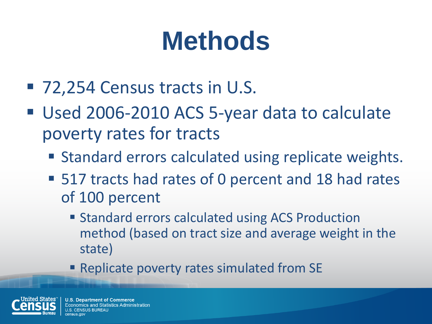# **Methods**

- 72,254 Census tracts in U.S.
- Used 2006-2010 ACS 5-year data to calculate poverty rates for tracts
	- **Standard errors calculated using replicate weights.**
	- 517 tracts had rates of 0 percent and 18 had rates of 100 percent
		- **Standard errors calculated using ACS Production** method (based on tract size and average weight in the state)
		- **Replicate poverty rates simulated from SE**

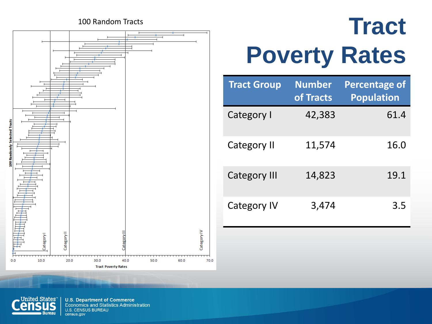#### 100 Random Tracts



#### **Tract Poverty Rates**

| <b>Tract Group</b>  | <b>Number</b><br>of Tracts | <b>Percentage of</b><br><b>Population</b> |
|---------------------|----------------------------|-------------------------------------------|
| Category I          | 42,383                     | 61.4                                      |
| <b>Category II</b>  | 11,574                     | 16.0                                      |
| <b>Category III</b> | 14,823                     | 19.1                                      |
| <b>Category IV</b>  | 3,474                      | 3.5                                       |

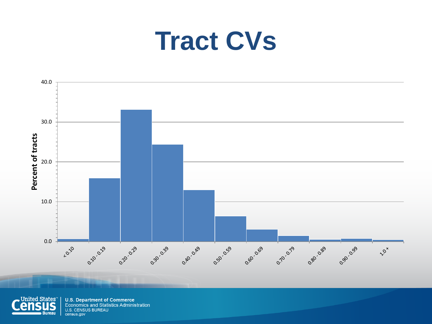#### **Tract CVs**



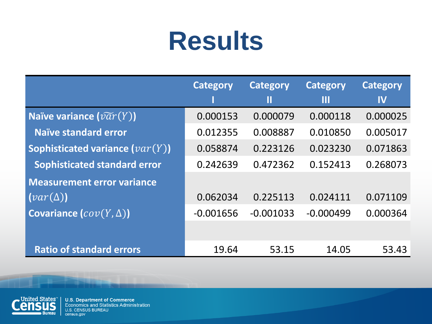#### **Results**

|                                        | <b>Category</b> | <b>Category</b> | <b>Category</b> | <b>Category</b> |
|----------------------------------------|-----------------|-----------------|-----------------|-----------------|
|                                        |                 | П               | Ш               | $\mathbf{I}$    |
| Naïve variance $(\widetilde{var}(Y))$  | 0.000153        | 0.000079        | 0.000118        | 0.000025        |
| Naïve standard error                   | 0.012355        | 0.008887        | 0.010850        | 0.005017        |
| Sophisticated variance $(var(Y))$      | 0.058874        | 0.223126        | 0.023230        | 0.071863        |
| <b>Sophisticated standard error</b>    | 0.242639        | 0.472362        | 0.152413        | 0.268073        |
| <b>Measurement error variance</b>      |                 |                 |                 |                 |
| $\left( var(\Delta) \right)$           | 0.062034        | 0.225113        | 0.024111        | 0.071109        |
| <b>Covariance</b> $\{cov(Y, \Delta)\}$ | $-0.001656$     | $-0.001033$     | $-0.000499$     | 0.000364        |
|                                        |                 |                 |                 |                 |
| <b>Ratio of standard errors</b>        | 19.64           | 53.15           | 14.05           | 53.43           |

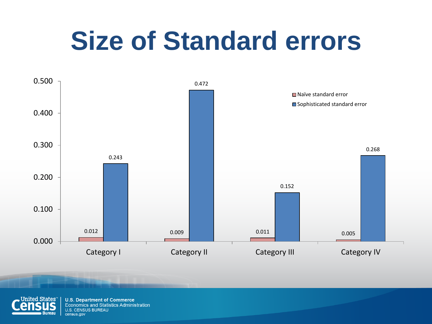### **Size of Standard errors**



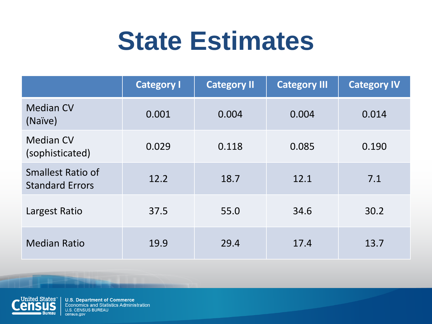#### **State Estimates**

|                                                    | <b>Category I</b> | <b>Category II</b> | <b>Category III</b> | <b>Category IV</b> |
|----------------------------------------------------|-------------------|--------------------|---------------------|--------------------|
| <b>Median CV</b><br>(Naïve)                        | 0.001             | 0.004              | 0.004               | 0.014              |
| <b>Median CV</b><br>(sophisticated)                | 0.029             | 0.118              | 0.085               | 0.190              |
| <b>Smallest Ratio of</b><br><b>Standard Errors</b> | 12.2              | 18.7               | 12.1                | 7.1                |
| Largest Ratio                                      | 37.5              | 55.0               | 34.6                | 30.2               |
| <b>Median Ratio</b>                                | 19.9              | 29.4               | 17.4                | 13.7               |

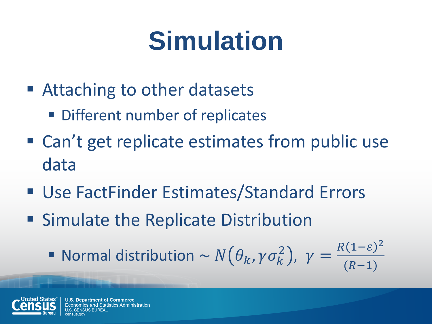# **Simulation**

- Attaching to other datasets
	- Different number of replicates
- Can't get replicate estimates from public use data
- Use FactFinder Estimates/Standard Errors
- **Simulate the Replicate Distribution** 
	- Normal distribution  $\sim N(\theta_k, \gamma \sigma_k^2)$ ,  $\gamma =$  $R(1-\varepsilon)^2$  $(R-1)$



**U.S. Department of Commerce** omics and Statistics Administration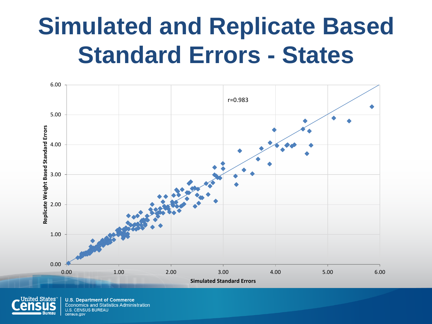#### **Simulated and Replicate Based Standard Errors - States**



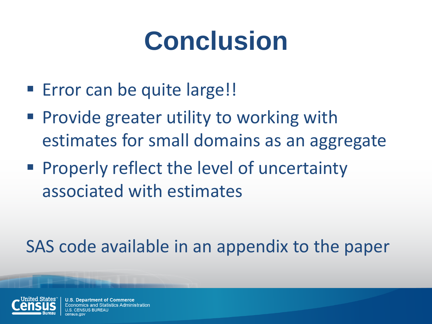# **Conclusion**

- **Error can be quite large!!**
- **Provide greater utility to working with** estimates for small domains as an aggregate
- **Properly reflect the level of uncertainty** associated with estimates

SAS code available in an appendix to the paper



**Department of Commerce** mics and Statistics Administration